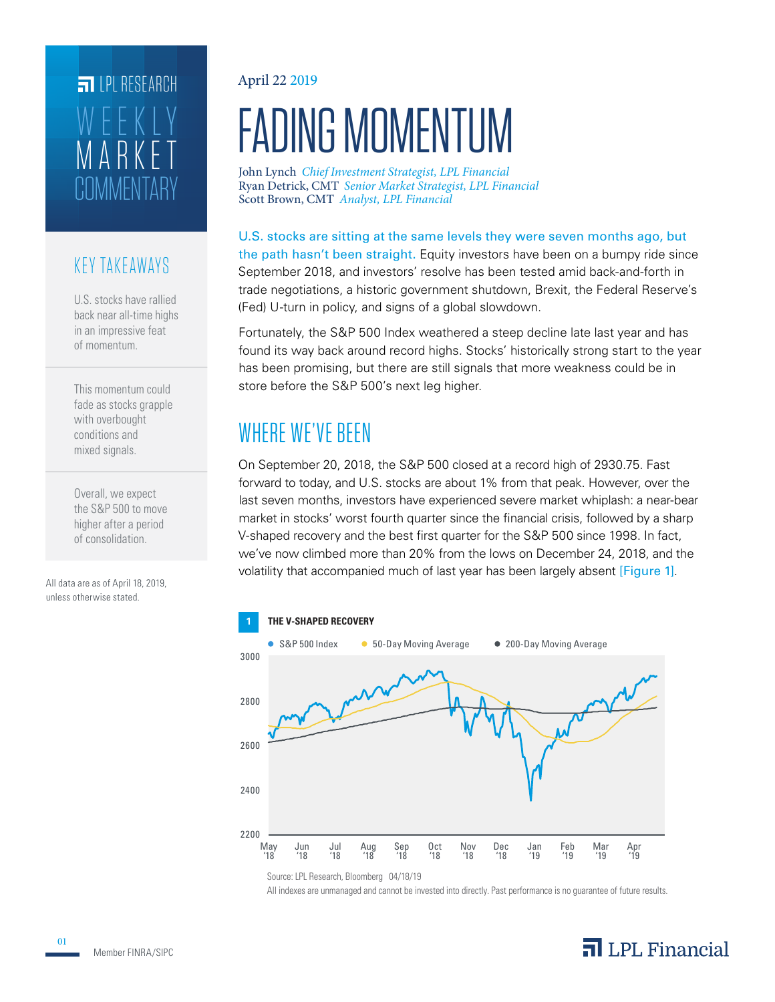# COMMENTARY ARKE WEEKLY **FILPI RESEARCH**

### KEY TAKEAWAYS

U.S. stocks have rallied back near all-time highs in an impressive feat of momentum.

This momentum could fade as stocks grapple with overbought conditions and mixed signals.

Overall, we expect the S&P 500 to move higher after a period of consolidation.

All data are as of April 18, 2019, unless otherwise stated.

#### April 22 2019

# FADING MOMENTUM

John Lynch *Chief Investment Strategist, LPL Financial* Scott Brown, CMT *Analyst, LPL Financial* Ryan Detrick, CMT *Senior Market Strategist, LPL Financial*

U.S. stocks are sitting at the same levels they were seven months ago, but the path hasn't been straight. Equity investors have been on a bumpy ride since September 2018, and investors' resolve has been tested amid back-and-forth in trade negotiations, a historic government shutdown, Brexit, the Federal Reserve's (Fed) U-turn in policy, and signs of a global slowdown.

Fortunately, the S&P 500 Index weathered a steep decline late last year and has found its way back around record highs. Stocks' historically strong start to the year has been promising, but there are still signals that more weakness could be in store before the S&P 500's next leg higher.

# WHERE WE'VE BEEN

On September 20, 2018, the S&P 500 closed at a record high of 2930.75. Fast forward to today, and U.S. stocks are about 1% from that peak. However, over the last seven months, investors have experienced severe market whiplash: a near-bear market in stocks' worst fourth quarter since the financial crisis, followed by a sharp V-shaped recovery and the best first quarter for the S&P 500 since 1998. In fact, we've now climbed more than 20% from the lows on December 24, 2018, and the volatility that accompanied much of last year has been largely absent [Figure 1].



Source: LPL Research, Bloomberg 04/18/19

All indexes are unmanaged and cannot be invested into directly. Past performance is no guarantee of future results.

### $\overline{\mathbf{a}}$  LPL Financial

01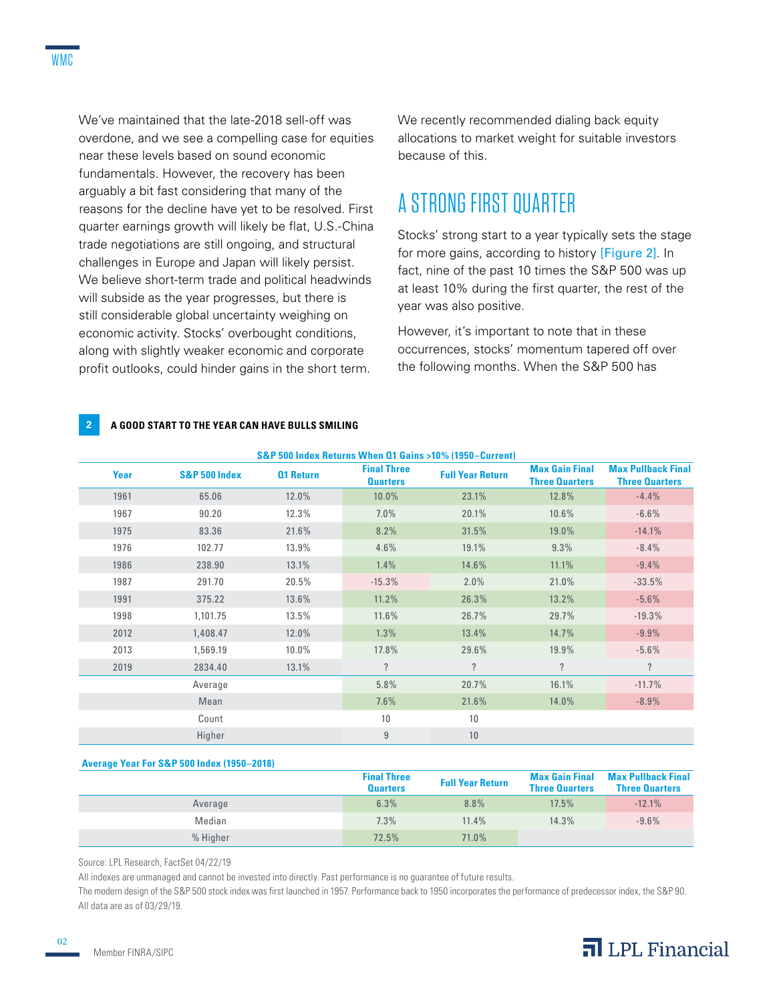We've maintained that the late-2018 sell-off was overdone, and we see a compelling case for equities near these levels based on sound economic fundamentals. However, the recovery has been arguably a bit fast considering that many of the reasons for the decline have yet to be resolved. First quarter earnings growth will likely be flat, U.S.-China trade negotiations are still ongoing, and structural challenges in Europe and Japan will likely persist. We believe short-term trade and political headwinds will subside as the year progresses, but there is still considerable global uncertainty weighing on economic activity. Stocks' overbought conditions, along with slightly weaker economic and corporate profit outlooks, could hinder gains in the short term.

We recently recommended dialing back equity allocations to market weight for suitable investors because of this.

### A STRONG FIRST QUARTER

Stocks' strong start to a year typically sets the stage for more gains, according to history [Figure 2]. In fact, nine of the past 10 times the S&P 500 was up at least 10% during the first quarter, the rest of the year was also positive.

However, it's important to note that in these occurrences, stocks' momentum tapered off over the following months. When the S&P 500 has

#### **2 A GOOD START TO THE YEAR CAN HAVE BULLS SMILING**

| S&P 500 Index Returns When Q1 Gains >10% (1950–Current) |               |                  |                                       |                         |                                                |                                                    |  |  |  |
|---------------------------------------------------------|---------------|------------------|---------------------------------------|-------------------------|------------------------------------------------|----------------------------------------------------|--|--|--|
| Year                                                    | S&P 500 Index | <b>Q1 Return</b> | <b>Final Three</b><br><b>Quarters</b> | <b>Full Year Return</b> | <b>Max Gain Final</b><br><b>Three Quarters</b> | <b>Max Pullback Final</b><br><b>Three Quarters</b> |  |  |  |
| 1961                                                    | 65.06         | 12.0%            | 10.0%                                 | 23.1%                   | 12.8%                                          | $-4.4%$                                            |  |  |  |
| 1967                                                    | 90.20         | 12.3%            | $7.0\%$                               | 20.1%                   | $10.6\%$                                       | $-6.6%$                                            |  |  |  |
| 1975                                                    | 83.36         | 21.6%            | 8.2%                                  | 31.5%                   | 19.0%                                          | $-14.1%$                                           |  |  |  |
| 1976                                                    | 102.77        | 13.9%            | 4.6%                                  | 19.1%                   | 9.3%                                           | $-8.4%$                                            |  |  |  |
| 1986                                                    | 238.90        | 13.1%            | 1.4%                                  | 14.6%                   | 11.1%                                          | $-9.4%$                                            |  |  |  |
| 1987                                                    | 291.70        | 20.5%            | $-15.3%$                              | 2.0%                    | 21.0%                                          | $-33.5%$                                           |  |  |  |
| 1991                                                    | 375.22        | 13.6%            | 11.2%                                 | 26.3%                   | 13.2%                                          | $-5.6%$                                            |  |  |  |
| 1998                                                    | 1,101.75      | 13.5%            | 11.6%                                 | 26.7%                   | 29.7%                                          | $-19.3%$                                           |  |  |  |
| 2012                                                    | 1,408.47      | 12.0%            | 1.3%                                  | 13.4%                   | 14.7%                                          | $-9.9%$                                            |  |  |  |
| 2013                                                    | 1,569.19      | 10.0%            | 17.8%                                 | 29.6%                   | 19.9%                                          | $-5.6%$                                            |  |  |  |
| 2019                                                    | 2834.40       | 13.1%            | $\overline{\mathcal{L}}$              | $\overline{?}$          | $\overline{\phantom{a}}$                       | $\overline{\phantom{a}}$                           |  |  |  |
|                                                         | Average       |                  | 5.8%                                  | 20.7%                   | 16.1%                                          | $-11.7%$                                           |  |  |  |
|                                                         | Mean          |                  | 7.6%                                  | 21.6%                   | 14.0%                                          | $-8.9\%$                                           |  |  |  |
|                                                         | Count         |                  | 10                                    | 10                      |                                                |                                                    |  |  |  |
|                                                         | Higher        |                  | $\overline{9}$                        | 10                      |                                                |                                                    |  |  |  |

#### **Average Year For S&P 500 Index (1950–2018)**

|          | <b>Final Three</b><br><b>Quarters</b> | <b>Full Year Return</b> | <b>Max Gain Final</b><br><b>Three Quarters</b> | <b>Max Pullback Final</b><br><b>Three Quarters</b> |
|----------|---------------------------------------|-------------------------|------------------------------------------------|----------------------------------------------------|
| Average  | 6.3%                                  | 8.8%                    | 17.5%                                          | $-12.1%$                                           |
| Median   | 7.3%                                  | 11.4%                   | 14.3%                                          | $-9.6%$                                            |
| % Higher | 72.5%                                 | 71.0%                   |                                                |                                                    |

Source: LPL Research, FactSet 04/22/19

All indexes are unmanaged and cannot be invested into directly. Past performance is no guarantee of future results.

The modern design of the S&P 500 stock index was first launched in 1957. Performance back to 1950 incorporates the performance of predecessor index, the S&P 90. All data are as of 03/29/19.

02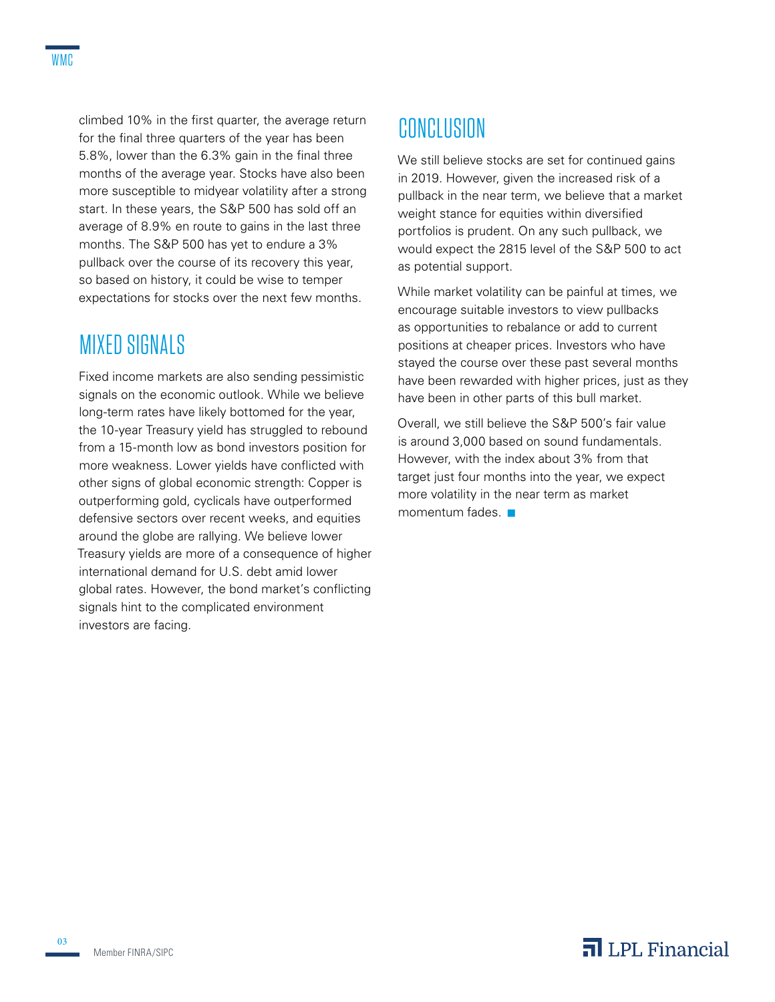climbed 10% in the first quarter, the average return for the final three quarters of the year has been 5.8%, lower than the 6.3% gain in the final three months of the average year. Stocks have also been more susceptible to midyear volatility after a strong start. In these years, the S&P 500 has sold off an average of 8.9% en route to gains in the last three months. The S&P 500 has yet to endure a 3% pullback over the course of its recovery this year, so based on history, it could be wise to temper expectations for stocks over the next few months.

### MIXED SIGNALS

Fixed income markets are also sending pessimistic signals on the economic outlook. While we believe long-term rates have likely bottomed for the year, the 10-year Treasury yield has struggled to rebound from a 15-month low as bond investors position for more weakness. Lower yields have conflicted with other signs of global economic strength: Copper is outperforming gold, cyclicals have outperformed defensive sectors over recent weeks, and equities around the globe are rallying. We believe lower Treasury yields are more of a consequence of higher international demand for U.S. debt amid lower global rates. However, the bond market's conflicting signals hint to the complicated environment investors are facing.

## CONCLUSION

We still believe stocks are set for continued gains in 2019. However, given the increased risk of a pullback in the near term, we believe that a market weight stance for equities within diversified portfolios is prudent. On any such pullback, we would expect the 2815 level of the S&P 500 to act as potential support.

While market volatility can be painful at times, we encourage suitable investors to view pullbacks as opportunities to rebalance or add to current positions at cheaper prices. Investors who have stayed the course over these past several months have been rewarded with higher prices, just as they have been in other parts of this bull market.

Overall, we still believe the S&P 500's fair value is around 3,000 based on sound fundamentals. However, with the index about 3% from that target just four months into the year, we expect more volatility in the near term as market momentum fades $\blacksquare$ 

### $\overline{\mathbf{a}}$  LPL Financial